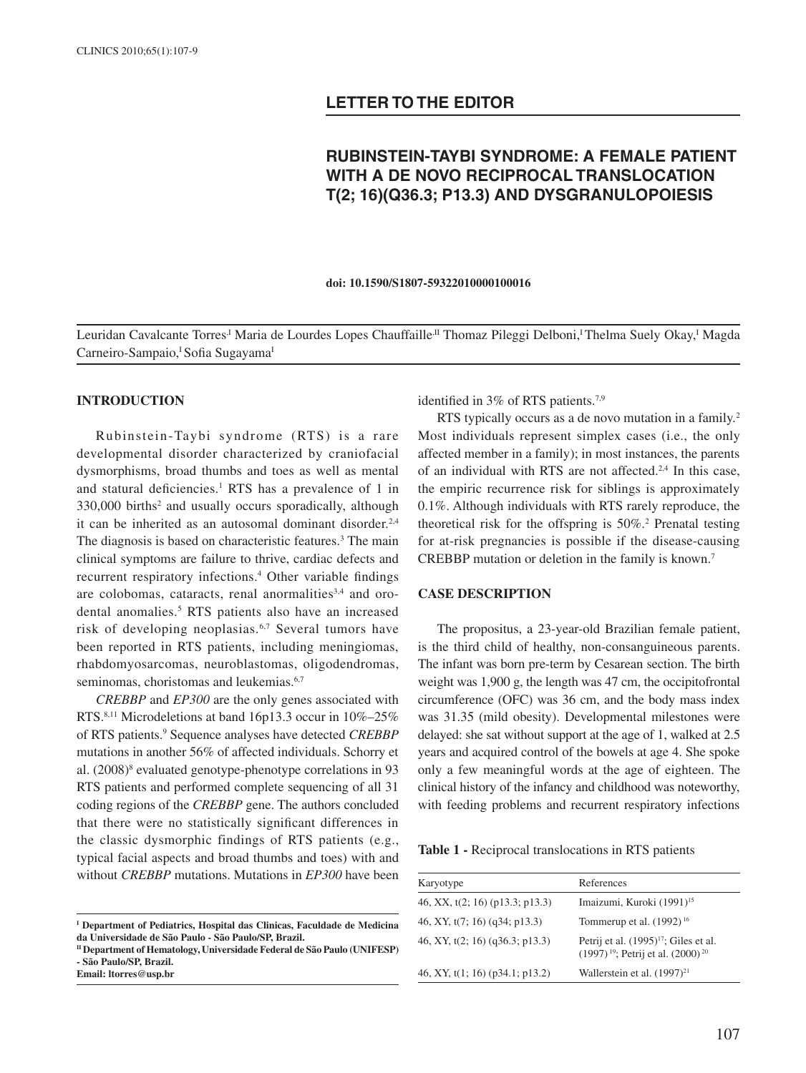# **LETTER TO THE EDITOR**

# **RUBINSTEIN-TAYBI SYNDROME: A FEMALE PATIENT WITH A DE NOVO RECIPROCAL TRANSLOCATION T(2; 16)(Q36.3; P13.3) AND DYSGRANULOPOIESIS**

**doi: 10.1590/S1807-59322010000100016**

Leuridan Cavalcante Torres<sup>,I</sup> Maria de Lourdes Lopes Chauffaille<sup>,II</sup> Thomaz Pileggi Delboni,<sup>I</sup> Thelma Suely Okay,<sup>I</sup> Magda Carneiro-Sampaio,<sup>I</sup> Sofia Sugayama<sup>I</sup>

#### **INTRODUCTION**

Rubinstein-Taybi syndrome (RTS) is a rare developmental disorder characterized by craniofacial dysmorphisms, broad thumbs and toes as well as mental and statural deficiencies.<sup>1</sup> RTS has a prevalence of 1 in 330,000 births2 and usually occurs sporadically, although it can be inherited as an autosomal dominant disorder.<sup>2,4</sup> The diagnosis is based on characteristic features.<sup>3</sup> The main clinical symptoms are failure to thrive, cardiac defects and recurrent respiratory infections.<sup>4</sup> Other variable findings are colobomas, cataracts, renal anormalities<sup>3,4</sup> and orodental anomalies.5 RTS patients also have an increased risk of developing neoplasias.6,7 Several tumors have been reported in RTS patients, including meningiomas, rhabdomyosarcomas, neuroblastomas, oligodendromas, seminomas, choristomas and leukemias.<sup>6,7</sup>

*CREBBP* and *EP300* are the only genes associated with RTS.8,11 Microdeletions at band 16p13.3 occur in 10%–25% of RTS patients.<sup>9</sup> Sequence analyses have detected *CREBBP* mutations in another 56% of affected individuals. Schorry et al. (2008)8 evaluated genotype-phenotype correlations in 93 RTS patients and performed complete sequencing of all 31 coding regions of the *CREBBP* gene. The authors concluded that there were no statistically significant differences in the classic dysmorphic findings of RTS patients (e.g., typical facial aspects and broad thumbs and toes) with and without *CREBBP* mutations. Mutations in *EP300* have been

identified in 3% of RTS patients.<sup>7,9</sup>

RTS typically occurs as a de novo mutation in a family.<sup>2</sup> Most individuals represent simplex cases (i.e., the only affected member in a family); in most instances, the parents of an individual with RTS are not affected.<sup>2,4</sup> In this case, the empiric recurrence risk for siblings is approximately 0.1%. Although individuals with RTS rarely reproduce, the theoretical risk for the offspring is 50%.2 Prenatal testing for at-risk pregnancies is possible if the disease-causing CREBBP mutation or deletion in the family is known.7

#### **CASE DESCRIPTION**

The propositus, a 23-year-old Brazilian female patient, is the third child of healthy, non-consanguineous parents. The infant was born pre-term by Cesarean section. The birth weight was 1,900 g, the length was 47 cm, the occipitofrontal circumference (OFC) was 36 cm, and the body mass index was 31.35 (mild obesity). Developmental milestones were delayed: she sat without support at the age of 1, walked at 2.5 years and acquired control of the bowels at age 4. She spoke only a few meaningful words at the age of eighteen. The clinical history of the infancy and childhood was noteworthy, with feeding problems and recurrent respiratory infections

**Table 1 -** Reciprocal translocations in RTS patients

| Karyotype                         | References                                                                                |
|-----------------------------------|-------------------------------------------------------------------------------------------|
| 46, XX, $t(2; 16)$ (p13.3; p13.3) | Imaizumi, Kuroki (1991) <sup>15</sup>                                                     |
| 46, XY, $t(7; 16)$ (q34; p13.3)   | Tommerup et al. $(1992)^{16}$                                                             |
| 46, XY, $t(2; 16)$ (q36.3; p13.3) | Petrij et al. $(1995)^{17}$ ; Giles et al.<br>$(1997)^{19}$ ; Petrij et al. $(2000)^{20}$ |
| 46, XY, $t(1; 16)$ (p34.1; p13.2) | Wallerstein et al. (1997) <sup>21</sup>                                                   |

**I Department of Pediatrics, Hospital das Clinicas, Faculdade de Medicina da Universidade de São Paulo - São Paulo/SP, Brazil.**

**II Department of Hematology, Universidade Federal de São Paulo (UNIFESP) - São Paulo/SP, Brazil.**

**Email: ltorres@usp.br**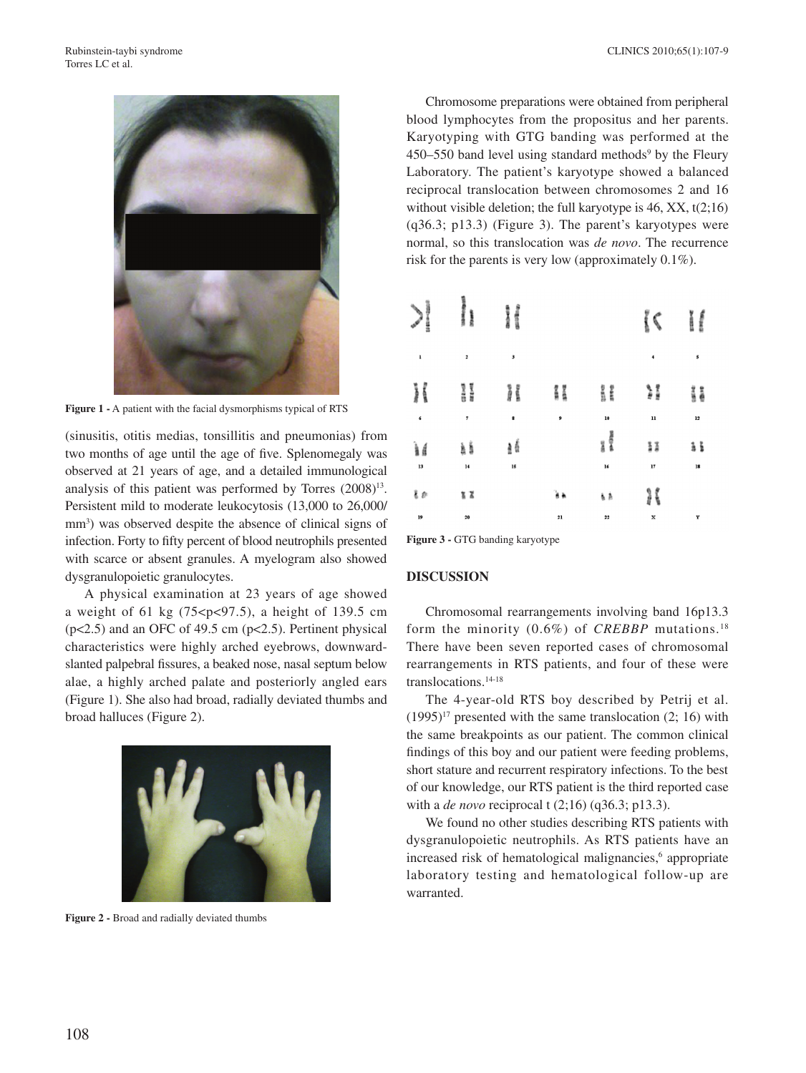

**Figure 1 -** A patient with the facial dysmorphisms typical of RTS

(sinusitis, otitis medias, tonsillitis and pneumonias) from two months of age until the age of five. Splenomegaly was observed at 21 years of age, and a detailed immunological analysis of this patient was performed by Torres  $(2008)^{13}$ . Persistent mild to moderate leukocytosis (13,000 to 26,000/ mm<sup>3</sup>) was observed despite the absence of clinical signs of infection. Forty to fifty percent of blood neutrophils presented with scarce or absent granules. A myelogram also showed dysgranulopoietic granulocytes.

A physical examination at 23 years of age showed a weight of 61 kg  $(75 < p < 97.5)$ , a height of 139.5 cm (p<2.5) and an OFC of 49.5 cm (p<2.5). Pertinent physical characteristics were highly arched eyebrows, downwardslanted palpebral fissures, a beaked nose, nasal septum below alae, a highly arched palate and posteriorly angled ears (Figure 1). She also had broad, radially deviated thumbs and broad halluces (Figure 2).



**Figure 2 -** Broad and radially deviated thumbs

Chromosome preparations were obtained from peripheral blood lymphocytes from the propositus and her parents. Karyotyping with GTG banding was performed at the  $450-550$  band level using standard methods<sup>9</sup> by the Fleury Laboratory. The patient's karyotype showed a balanced reciprocal translocation between chromosomes 2 and 16 without visible deletion; the full karyotype is 46, XX, t(2;16) (q36.3; p13.3) (Figure 3). The parent's karyotypes were normal, so this translocation was *de novo*. The recurrence risk for the parents is very low (approximately 0.1%).

| $\mathcal{L}_{\mathcal{A}}^{\mathcal{A}}(\mathcal{A})=\mathcal{L}_{\mathcal{A}}^{\mathcal{A}}(\mathcal{A})\mathcal{L}_{\mathcal{A}}^{\mathcal{A}}(\mathcal{A})$<br>ļ<br>i | 퉢                   | anaes<br>gilling |           |                          | ់(                   | š<br><b>CHINE</b> |
|---------------------------------------------------------------------------------------------------------------------------------------------------------------------------|---------------------|------------------|-----------|--------------------------|----------------------|-------------------|
| 1                                                                                                                                                                         | 2                   | 3                |           |                          | $\ddot{\phantom{1}}$ | 5                 |
| H                                                                                                                                                                         | a<br>a              | ł                | i         | gate<br>NGC              | e<br>F               | ii                |
| 6                                                                                                                                                                         | $\scriptstyle\rm 7$ | 8                | 9         | 10                       | $\mathbf{11}$        | 12                |
| Ìś<br>13                                                                                                                                                                  | ài<br>$\bf{l}$      | ₫ś<br>15         |           | <b>BACDAR</b><br>ä<br>16 | Ħ<br>17              | ã š<br>${\bf 18}$ |
| à B                                                                                                                                                                       | ã X                 |                  | λħ        | ή,                       | i                    |                   |
| 19                                                                                                                                                                        | 20                  |                  | $\bf{21}$ | $\bf{22}$                | $\bf x$              | Y                 |
|                                                                                                                                                                           |                     |                  |           |                          |                      |                   |

**Figure 3 -** GTG banding karyotype

## **DISCUSSION**

Chromosomal rearrangements involving band 16p13.3 form the minority (0.6%) of *CREBBP* mutations.18 There have been seven reported cases of chromosomal rearrangements in RTS patients, and four of these were translocations.14-18

The 4-year-old RTS boy described by Petrij et al.  $(1995)^{17}$  presented with the same translocation  $(2; 16)$  with the same breakpoints as our patient. The common clinical findings of this boy and our patient were feeding problems, short stature and recurrent respiratory infections. To the best of our knowledge, our RTS patient is the third reported case with a *de novo* reciprocal t (2;16) (q36.3; p13.3).

We found no other studies describing RTS patients with dysgranulopoietic neutrophils. As RTS patients have an increased risk of hematological malignancies,<sup>6</sup> appropriate laboratory testing and hematological follow-up are warranted.